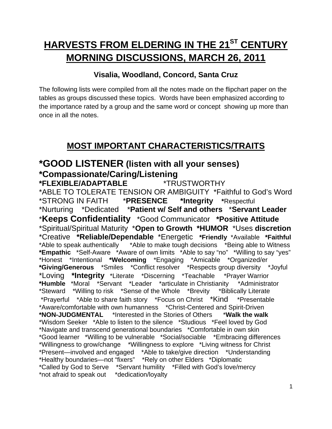# **HARVESTS FROM ELDERING IN THE 21ST CENTURY MORNING DISCUSSIONS, MARCH 26, 2011**

#### **Visalia, Woodland, Concord, Santa Cruz**

The following lists were compiled from all the notes made on the flipchart paper on the tables as groups discussed these topics. Words have been emphasized according to the importance rated by a group and the same word or concept showing up more than once in all the notes.

# **MOST IMPORTANT CHARACTERISTICS/TRAITS**

### **\*GOOD LISTENER (listen with all your senses) \*Compassionate/Caring/Listening**

#### **\*FLEXIBLE/ADAPTABLE** \*TRUSTWORTHY

\*ABLE TO TOLERATE TENSION OR AMBIGUITY \*Faithful to God's Word \*STRONG IN FAITH \***PRESENCE \*Integrity \***Respectful \*Nurturing \*Dedicated \***Patient w/ Self and others** \***Servant Leader** \***Keeps Confidentiality** \*Good Communicator **\*Positive Attitude** \*Spiritual/Spiritual Maturity \***Open to Growth \*HUMOR** \*Uses **discretion**  \*Creative **\*Reliable/Dependable** \*Energetic **\*Friendly** \*Available **\*Faithful** \*Able to speak authentically \*Able to make tough decisions \*Being able to Witness **\*Empathic** \*Self-Aware \*Aware of own limits \*Able to say "no" \*Willing to say "yes" \*Honest \*Intentional **\*Welcoming** \*Engaging \*Amicable \*Organized/er **\*Giving/Generous** \*Smiles \*Conflict resolver \*Respects group diversity \*Joyful \*Loving **\*Integrity** \*Literate \*Discerning \*Teachable \*Prayer Warrior **\*Humble** \*Moral \*Servant \*Leader \*articulate in Christianity \*Administrator \*Steward \*Willing to risk \*Sense of the Whole \*Brevity \*Biblically Literate \*Prayerful \*Able to share faith story \*Focus on Christ \*Kind \*Presentable \*Aware/comfortable with own humanness \*Christ-Centered and Spirit-Driven **\*NON-JUDGMENTAL** \*Interested in the Stories of Others \***Walk the walk**  \*Wisdom Seeker \*Able to listen to the silence \*Studious \*Feel loved by God \*Navigate and transcend generational boundaries \*Comfortable in own skin \*Good learner \*Willing to be vulnerable \*Social/sociable \*Embracing differences \*Willingness to grow/change \*Willingness to explore \*Living witness for Christ \*Present—involved and engaged \*Able to take/give direction \*Understanding \*Healthy boundaries—not "fixers" \*Rely on other Elders \*Diplomatic \*Called by God to Serve \*Servant humility \*Filled with God's love/mercy \*not afraid to speak out \*dedication/loyalty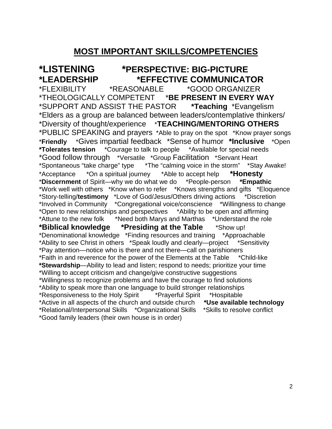#### **MOST IMPORTANT SKILLS/COMPETENCIES**

**\*LISTENING \*PERSPECTIVE: BIG-PICTURE \*LEADERSHIP \*EFFECTIVE COMMUNICATOR** \*FLEXIBILITY \*REASONABLE \*GOOD ORGANIZER \*THEOLOGICALLY COMPETENT \***BE PRESENT IN EVERY WAY** \*SUPPORT AND ASSIST THE PASTOR **\*Teaching** \*Evangelism \*Elders as a group are balanced between leaders/contemplative thinkers/ \*Diversity of thought/experience \***TEACHING/MENTORING OTHERS** \*PUBLIC SPEAKING and prayers \*Able to pray on the spot \*Know prayer songs \***Friendly** \*Gives impartial feedback \*Sense of humor **\*Inclusive** \*Open **\*Tolerates tension** \*Courage to talk to people \*Available for special needs \*Good follow through \*Versatile \*Group Facilitation \*Servant Heart \*Spontaneous "take charge" type \*The "calming voice in the storm" \*Stay Awake! \*Acceptance \*On a spiritual journey \*Able to accept help **\*Honesty** \***Discernment** of Spirit—why we do what we do \*People-person **\*Empathic** \*Work well with others \*Know when to refer \*Knows strengths and gifts \*Eloquence \*Story-telling/**testimony** \*Love of God/Jesus/Others driving actions \*Discretion \*Involved in Community \*Congregational voice/conscience \*Willingness to change \*Open to new relationships and perspectives \*Ability to be open and affirming \*Attune to the new folk \*Need both Marys and Marthas \*Understand the role **\*Biblical knowledge \*Presiding at the Table** \*Show up! \*Denominational knowledge \*Finding resources and training \*Approachable \*Ability to see Christ in others \*Speak loudly and clearly—project \*Sensitivity \*Pay attention—notice who is there and not there—call on parishioners \*Faith in and reverence for the power of the Elements at the Table \*Child-like **\*Stewardship**—Ability to lead and listen; respond to needs; prioritize your time \*Willing to accept criticism and change/give constructive suggestions \*Willingness to recognize problems and have the courage to find solutions \*Ability to speak more than one language to build stronger relationships \*Responsiveness to the Holy Spirit \*Prayerful Spirit \*Hospitable \*Active in all aspects of the church and outside church **\*Use available technology** \*Relational/Interpersonal Skills \*Organizational Skills \*Skills to resolve conflict \*Good family leaders (their own house is in order)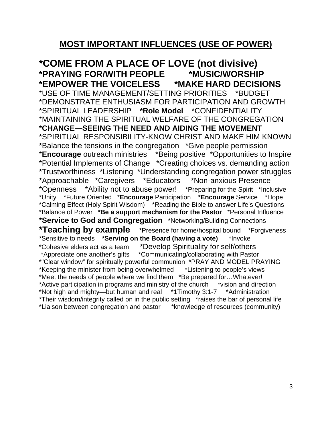#### **MOST IMPORTANT INFLUENCES (USE OF POWER)**

**\*COME FROM A PLACE OF LOVE (not divisive) \*PRAYING FOR/WITH PEOPLE \*MUSIC/WORSHIP \*EMPOWER THE VOICELESS \*MAKE HARD DECISIONS**  \*USE OF TIME MANAGEMENT/SETTING PRIORITIES \*BUDGET \*DEMONSTRATE ENTHUSIASM FOR PARTICIPATION AND GROWTH \*SPIRITUAL LEADERSHIP **\*Role Model** \*CONFIDENTIALITY \*MAINTAINING THE SPIRITUAL WELFARE OF THE CONGREGATION **\*CHANGE—SEEING THE NEED AND AIDING THE MOVEMENT**  \*SPIRITUAL RESPONSIBILITY-KNOW CHRIST AND MAKE HIM KNOWN \*Balance the tensions in the congregation \*Give people permission \***Encourage** outreach ministries \*Being positive \*Opportunities to Inspire \*Potential Implements of Change \*Creating choices vs. demanding action \*Trustworthiness \*Listening \*Understanding congregation power struggles \*Approachable \*Caregivers \*Educators \*Non-anxious Presence \*Openness \*Ability not to abuse power! \*Preparing for the Spirit \*Inclusive \*Unity \*Future Oriented \***Encourage** Participation **\*Encourage** Service \*Hope \*Calming Effect (Holy Spirit Wisdom) \*Reading the Bible to answer Life's Questions \*Balance of Power **\*Be a support mechanism for the Pastor** \*Personal Influence **\*Service to God and Congregation** \*Networking/Building Connections **\*Teaching by example** \*Presence for home/hospital bound \*Forgiveness \*Sensitive to needs **\*Serving on the Board (having a vote)** \*Invoke \*Cohesive elders act as a team \*Develop Spirituality for self/others \*Appreciate one another's gifts \*Communicating/collaborating with Pastor \*"Clear window" for spiritually powerful communion \*PRAY AND MODEL PRAYING \*Keeping the minister from being overwhelmed \*Listening to people's views \*Meet the needs of people where we find them \*Be prepared for…Whatever! \*Active participation in programs and ministry of the church \*vision and direction \*Not high and mighty—but human and real \*1Timothy 3:1-7 \*Administration \*Their wisdom/integrity called on in the public setting \*raises the bar of personal life \*Liaison between congregation and pastor \*knowledge of resources (community)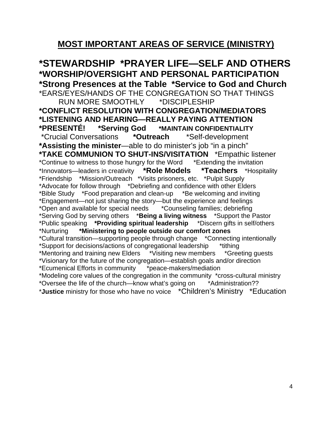## **MOST IMPORTANT AREAS OF SERVICE (MINISTRY)**

**\*STEWARDSHIP \*PRAYER LIFE—SELF AND OTHERS \*WORSHIP/OVERSIGHT AND PERSONAL PARTICIPATION \*Strong Presences at the Table \*Service to God and Church**  \*EARS/EYES/HANDS OF THE CONGREGATION SO THAT THINGS RUN MORE SMOOTHLY \*DISCIPLESHIP **\*CONFLICT RESOLUTION WITH CONGREGATION/MEDIATORS \*LISTENING AND HEARING—REALLY PAYING ATTENTION \*PRESENTÉ! \*Serving God \*MAINTAIN CONFIDENTIALITY**  \*Crucial Conversations **\*Outreach** \*Self-development **\*Assisting the minister**—able to do minister's job "in a pinch" **\*TAKE COMMUNION TO SHUT-INS/VISITATION** \*Empathic listener \*Continue to witness to those hungry for the Word \*Extending the invitation \*Innovators—leaders in creativity **\*Role Models \*Teachers** \*Hospitality \*Friendship \*Mission/Outreach \*Visits prisoners, etc. \*Pulpit Supply \*Advocate for follow through \*Debriefing and confidence with other Elders \*Bible Study \*Food preparation and clean-up \*Be welcoming and inviting \*Engagement—not just sharing the story—but the experience and feelings \*Open and available for special needs \*Counseling families; debriefing \*Serving God by serving others \***Being a living witness** \*Support the Pastor \*Public speaking **\*Providing spiritual leadership** \*Discern gifts in self/others \*Nurturing **\*Ministering to people outside our comfort zones** \*Cultural transition—supporting people through change \*Connecting intentionally \*Support for decisions/actions of congregational leadership \*tithing \*Mentoring and training new Elders \*Visiting new members \*Greeting guests \*Visionary for the future of the congregation—establish goals and/or direction \*Ecumenical Efforts in community \*peace-makers/mediation \*Modeling core values of the congregation in the community \*cross-cultural ministry \*Oversee the life of the church—know what's going on \*Administration?? \***Justice** ministry for those who have no voice \*Children's Ministry \*Education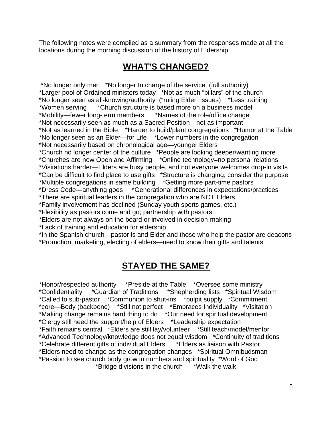The following notes were compiled as a summary from the responses made at all the locations during the morning discussion of the history of Eldership:

# **WHAT'S CHANGED?**

 \*No longer only men \*No longer In charge of the service (full authority) \*Larger pool of Ordained ministers today \*Not as much "pillars" of the church \*No longer seen as all-knowing/authority ("ruling Elder" issues) \*Less training \*Women serving \*Church structure is based more on a business model \*Mobility—fewer long-term members \*Names of the role/office change \*Not necessarily seen as much as a Sacred Position—not as important \*Not as learned in the Bible \*Harder to build/plant congregations \*Humor at the Table \*No longer seen as an Elder—for Life \*Lower numbers in the congregation \*Not necessarily based on chronological age—younger Elders \*Church no longer center of the culture \*People are looking deeper/wanting more \*Churches are now Open and Affirming \*Online technology=no personal relations \*Visitations harder—Elders are busy people, and not everyone welcomes drop-in visits \*Can be difficult to find place to use gifts \*Structure is changing; consider the purpose \*Multiple congregations in same building \*Getting more part-time pastors \*Dress Code—anything goes \*Generational differences in expectations/practices \*There are spiritual leaders in the congregation who are NOT Elders \*Family involvement has declined (Sunday youth sports games, etc.) \*Flexibility as pastors come and go; partnership with pastors \*Elders are not always on the board or involved in decision-making \*Lack of training and education for eldership

\*In the Spanish church—pastor is and Elder and those who help the pastor are deacons \*Promotion, marketing, electing of elders—need to know their gifts and talents

# **STAYED THE SAME?**

\*Honor/respected authority \*Preside at the Table \*Oversee some ministry \*Confidentiality \*Guardian of Traditions \*Shepherding lists \*Spiritual Wisdom \*Called to sub-pastor \*Communion to shut-ins \*pulpit supply \*Commitment \*core—Body (backbone) \*Still not perfect \*Embraces Individuality \*Visitation \*Making change remains hard thing to do \*Our need for spiritual development \*Clergy still need the support/help of Elders \*Leadership expectation \*Faith remains central \*Elders are still lay/volunteer \*Still teach/model/mentor \*Advanced Technology/knowledge does not equal wisdom \*Continuity of traditions \*Celebrate different gifts of individual Elders \*Elders as liaison with Pastor \*Elders need to change as the congregation changes \*Spiritual Omnibudsman \*Passion to see church body grow in numbers and spirituality \*Word of God \*Bridge divisions in the church \*Walk the walk